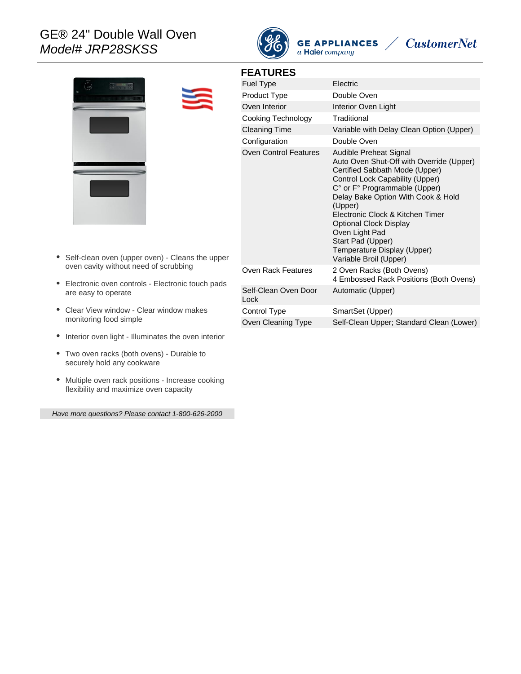## GE® 24" Double Wall Oven Model# JRP28SKSS



**GE APPLIANCES**  $\angle$ 

# **CustomerNet**



**FEATURES**

| Fuel Type                    | Electric                                                                                                                                                                                                                                                                                                                                                                                       |
|------------------------------|------------------------------------------------------------------------------------------------------------------------------------------------------------------------------------------------------------------------------------------------------------------------------------------------------------------------------------------------------------------------------------------------|
| <b>Product Type</b>          | Double Oven                                                                                                                                                                                                                                                                                                                                                                                    |
| Oven Interior                | Interior Oven Light                                                                                                                                                                                                                                                                                                                                                                            |
| Cooking Technology           | Traditional                                                                                                                                                                                                                                                                                                                                                                                    |
| Cleaning Time                | Variable with Delay Clean Option (Upper)                                                                                                                                                                                                                                                                                                                                                       |
| Configuration                | Double Oven                                                                                                                                                                                                                                                                                                                                                                                    |
| Oven Control Features        | Audible Preheat Signal<br>Auto Oven Shut-Off with Override (Upper)<br>Certified Sabbath Mode (Upper)<br>Control Lock Capability (Upper)<br>C° or F° Programmable (Upper)<br>Delay Bake Option With Cook & Hold<br>(Upper)<br>Electronic Clock & Kitchen Timer<br><b>Optional Clock Display</b><br>Oven Light Pad<br>Start Pad (Upper)<br>Temperature Display (Upper)<br>Variable Broil (Upper) |
| Oven Rack Features           | 2 Oven Racks (Both Ovens)<br>4 Embossed Rack Positions (Both Ovens)                                                                                                                                                                                                                                                                                                                            |
| Self-Clean Oven Door<br>Lock | Automatic (Upper)                                                                                                                                                                                                                                                                                                                                                                              |
| Control Type                 | SmartSet (Upper)                                                                                                                                                                                                                                                                                                                                                                               |
| Oven Cleaning Type           | Self-Clean Upper; Standard Clean (Lower)                                                                                                                                                                                                                                                                                                                                                       |

- Self-clean oven (upper oven) Cleans the upper oven cavity without need of scrubbing
- Electronic oven controls Electronic touch pads are easy to operate
- Clear View window Clear window makes monitoring food simple
- Interior oven light Illuminates the oven interior
- Two oven racks (both ovens) Durable to securely hold any cookware
- Multiple oven rack positions Increase cooking flexibility and maximize oven capacity

Have more questions? Please contact 1-800-626-2000